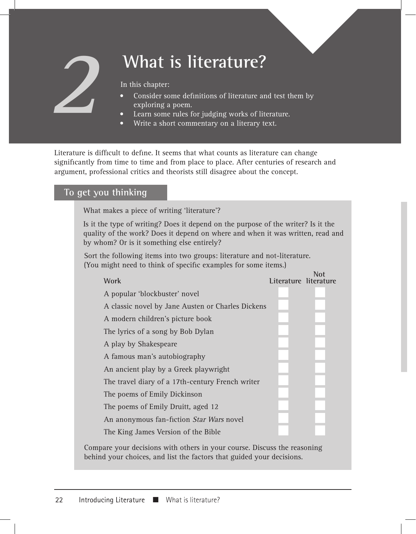# **What is literature?**

In this chapter:

- Consider some definitions of literature and test them by exploring a poem.
- Learn some rules for judging works of literature.
- Write a short commentary on a literary text.

Literature is difficult to define. It seems that what counts as literature can change significantly from time to time and from place to place. After centuries of research and argument, professional critics and theorists still disagree about the concept.

# **To get you thinking**

**2**

What makes a piece of writing 'literature'?

Is it the type of writing? Does it depend on the purpose of the writer? Is it the quality of the work? Does it depend on where and when it was written, read and by whom? Or is it something else entirely?

 Sort the following items into two groups: literature and not-literature. (You might need to think of specific examples for some items.)

| <b>Work</b>                                                              | Literature literature | Not |
|--------------------------------------------------------------------------|-----------------------|-----|
| A popular 'blockbuster' novel                                            |                       |     |
| A classic novel by Jane Austen or Charles Dickens                        |                       |     |
| A modern children's picture book                                         |                       |     |
| The lyrics of a song by Bob Dylan                                        |                       |     |
| A play by Shakespeare                                                    |                       |     |
| A famous man's autobiography                                             |                       |     |
| An ancient play by a Greek playwright                                    |                       |     |
| The travel diary of a 17th-century French writer                         |                       |     |
| The poems of Emily Dickinson                                             |                       |     |
| The poems of Emily Druitt, aged 12                                       |                       |     |
| An anonymous fan-fiction Star Wars novel                                 |                       |     |
| The King James Version of the Bible                                      |                       |     |
| Compare vour decisions with others in your course. Discuss the reasoning |                       |     |

Compare your decisions with others in your course. Discuss the reasoning behind your choices, and list the factors that guided your decisions.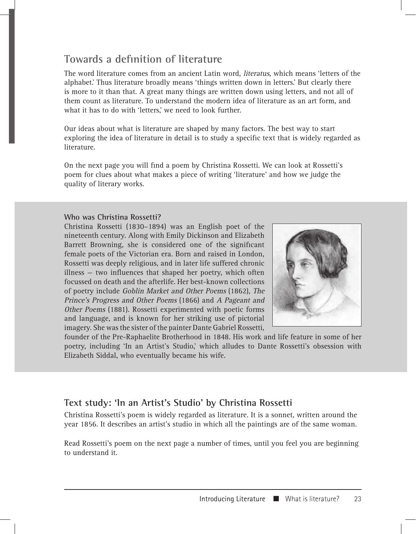# **Towards a definition of literature**

The word literature comes from an ancient Latin word, literatus, which means 'letters of the alphabet.' Thus literature broadly means 'things written down in letters.' But clearly there is more to it than that. A great many things are written down using letters, and not all of them count as literature. To understand the modern idea of literature as an art form, and what it has to do with 'letters,' we need to look further.

Our ideas about what is literature are shaped by many factors. The best way to start exploring the idea of literature in detail is to study a specific text that is widely regarded as literature.

On the next page you will find a poem by Christina Rossetti. We can look at Rossetti's poem for clues about what makes a piece of writing 'literature' and how we judge the quality of literary works.

#### **Who was Christina Rossetti?**

Christina Rossetti (1830–1894) was an English poet of the nineteenth century. Along with Emily Dickinson and Elizabeth Barrett Browning, she is considered one of the significant female poets of the Victorian era. Born and raised in London, Rossetti was deeply religious, and in later life suffered chronic illness — two influences that shaped her poetry, which often focussed on death and the afterlife. Her best-known collections of poetry include Goblin Market and Other Poems (1862), The Prince's Progress and Other Poems (1866) and A Pageant and Other Poems (1881). Rossetti experimented with poetic forms and language, and is known for her striking use of pictorial imagery. She was the sister of the painter Dante Gabriel Rossetti,



founder of the Pre-Raphaelite Brotherhood in 1848. His work and life feature in some of her poetry, including 'In an Artist's Studio,' which alludes to Dante Rossetti's obsession with Elizabeth Siddal, who eventually became his wife.

# **Text study: 'In an Artist's Studio' by Christina Rossetti**

Christina Rossetti's poem is widely regarded as literature. It is a sonnet, written around the year 1856. It describes an artist's studio in which all the paintings are of the same woman.

Read Rossetti's poem on the next page a number of times, until you feel you are beginning to understand it.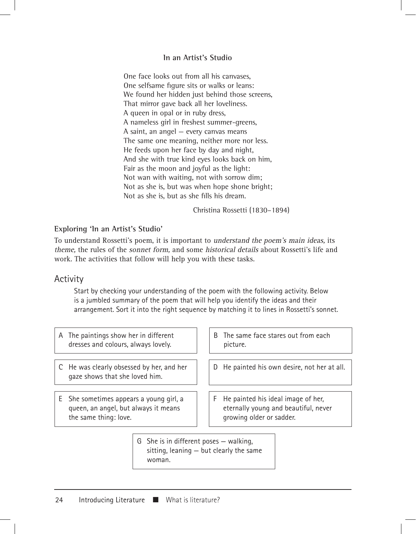#### **In an Artist's Studio**

One face looks out from all his canvases, One selfsame figure sits or walks or leans: We found her hidden just behind those screens, That mirror gave back all her loveliness. A queen in opal or in ruby dress, A nameless girl in freshest summer-greens, A saint, an angel — every canvas means The same one meaning, neither more nor less. He feeds upon her face by day and night, And she with true kind eyes looks back on him, Fair as the moon and joyful as the light: Not wan with waiting, not with sorrow dim; Not as she is, but was when hope shone bright; Not as she is, but as she fills his dream.

Christina Rossetti (1830–1894)

#### **Exploring 'In an Artist's Studio'**

To understand Rossetti's poem, it is important to understand the poem's main ideas, its theme, the rules of the sonnet form, and some historical details about Rossetti's life and work. The activities that follow will help you with these tasks.

#### Activity

Start by checking your understanding of the poem with the following activity. Below is a jumbled summary of the poem that will help you identify the ideas and their arrangement. Sort it into the right sequence by matching it to lines in Rossetti's sonnet.

- A The paintings show her in different dresses and colours, always lovely.
- C He was clearly obsessed by her, and her gaze shows that she loved him.
- E She sometimes appears a young girl, a queen, an angel, but always it means the same thing: love.
- B The same face stares out from each picture.
- D He painted his own desire, not her at all.
- F He painted his ideal image of her, eternally young and beautiful, never growing older or sadder.
- G She is in different poses walking, sitting, leaning — but clearly the same woman.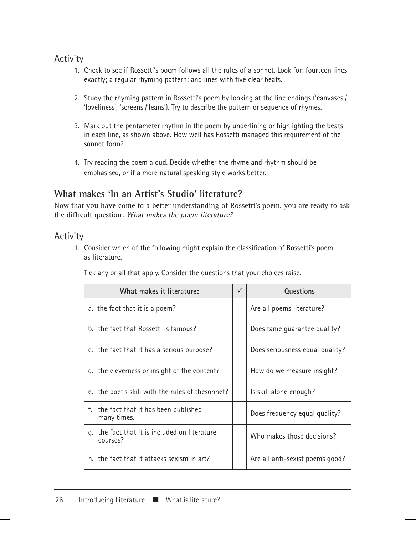# Activity

- 1. Check to see if Rossetti's poem follows all the rules of a sonnet. Look for: fourteen lines exactly; a regular rhyming pattern; and lines with five clear beats.
- 2. Study the rhyming pattern in Rossetti's poem by looking at the line endings ('canvases'/ 'loveliness', 'screens'/'leans'). Try to describe the pattern or sequence of rhymes.
- 3. Mark out the pentameter rhythm in the poem by underlining or highlighting the beats in each line, as shown above. How well has Rossetti managed this requirement of the sonnet form?
- 4. Try reading the poem aloud. Decide whether the rhyme and rhythm should be emphasised, or if a more natural speaking style works better.

# **What makes 'In an Artist's Studio' literature?**

Now that you have come to a better understanding of Rossetti's poem, you are ready to ask the difficult question: What makes the poem literature?

# Activity

1. Consider which of the following might explain the classification of Rossetti's poem as literature.

Tick any or all that apply. Consider the questions that your choices raise.

| What makes it literature:                                 |  | Questions                       |
|-----------------------------------------------------------|--|---------------------------------|
| a. the fact that it is a poem?                            |  | Are all poems literature?       |
| b. the fact that Rossetti is famous?                      |  | Does fame guarantee quality?    |
| c. the fact that it has a serious purpose?                |  | Does seriousness equal quality? |
| d. the cleverness or insight of the content?              |  | How do we measure insight?      |
| e. the poet's skill with the rules of thesonnet?          |  | Is skill alone enough?          |
| f.<br>the fact that it has been published<br>many times.  |  | Does frequency equal quality?   |
| g. the fact that it is included on literature<br>courses? |  | Who makes those decisions?      |
| h. the fact that it attacks sexism in art?                |  | Are all anti-sexist poems good? |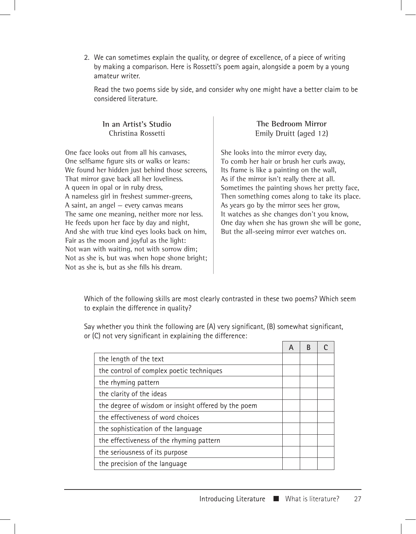2. We can sometimes explain the quality, or degree of excellence, of a piece of writing by making a comparison. Here is Rossetti's poem again, alongside a poem by a young amateur writer.

Read the two poems side by side, and consider why one might have a better claim to be considered literature.

#### **In an Artist's Studio** Christina Rossetti

One face looks out from all his canvases, One selfsame figure sits or walks or leans: We found her hidden just behind those screens, That mirror gave back all her loveliness. A queen in opal or in ruby dress, A nameless girl in freshest summer-greens, A saint, an angel — every canvas means The same one meaning, neither more nor less. He feeds upon her face by day and night, And she with true kind eyes looks back on him, Fair as the moon and joyful as the light: Not wan with waiting, not with sorrow dim; Not as she is, but was when hope shone bright; Not as she is, but as she fills his dream.

#### **The Bedroom Mirror** Emily Druitt (aged 12)

She looks into the mirror every day, To comb her hair or brush her curls away, Its frame is like a painting on the wall, As if the mirror isn't really there at all. Sometimes the painting shows her pretty face, Then something comes along to take its place. As years go by the mirror sees her grow, It watches as she changes don't you know, One day when she has grown she will be gone, But the all-seeing mirror ever watches on.

Which of the following skills are most clearly contrasted in these two poems? Which seem to explain the difference in quality?

Say whether you think the following are (A) very significant, (B) somewhat significant, or (C) not very significant in explaining the difference:

|                                                     | А |  |
|-----------------------------------------------------|---|--|
| the length of the text                              |   |  |
| the control of complex poetic techniques            |   |  |
| the rhyming pattern                                 |   |  |
| the clarity of the ideas                            |   |  |
| the degree of wisdom or insight offered by the poem |   |  |
| the effectiveness of word choices                   |   |  |
| the sophistication of the language                  |   |  |
| the effectiveness of the rhyming pattern            |   |  |
| the seriousness of its purpose                      |   |  |
| the precision of the language                       |   |  |